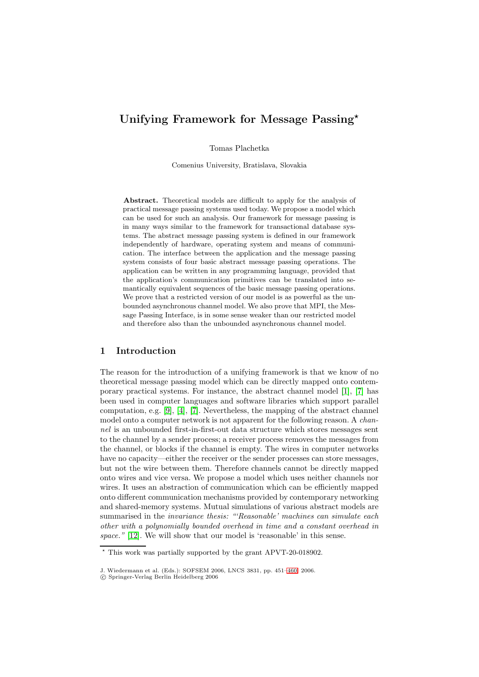# **Unifying Framework for Message Passing**

Tomas Plachetka

Comenius University, Bratislava, Slovakia

**Abstract.** Theoretical models are difficult to apply for the analysis of practical message passing systems used today. We propose a model which can be used for such an analysis. Our framework for message passing is in many ways similar to the framework for transactional database systems. The abstract message passing system is defined in our framework independently of hardware, operating system and means of communication. The interface between the application and the message passing system consists of four basic abstract message passing operations. The application can be written in any programming language, provided that the application's communication primitives can be translated into semantically equivalent sequences of the basic message passing operations. We prove that a restricted version of our model is as powerful as the unbounded asynchronous channel model. We also prove that MPI, the Message Passing Interface, is in some sense weaker than our restricted model and therefore also than the unbounded asynchronous channel model.

# <span id="page-0-0"></span>**1 Introduction**

The reason for the introduction of a unifying framework is that we know of no theoretical message passing model which can be directly mapped onto contemporary practical systems. For instance, the abstract channel model [\[1\]](#page-8-0), [\[7\]](#page-9-0) has been used in computer languages and software libraries which support parallel computation, e.g. [\[9\]](#page-9-1), [\[4\]](#page-9-2), [\[7\]](#page-9-0). Nevertheless, the mapping of the abstract channel model onto a computer network is not apparent for the following reason. A channel is an unbounded first-in-first-out data structure which stores messages sent to the channel by a sender process; a receiver process removes the messages from the channel, or blocks if the channel is empty. The wires in computer networks have no capacity—either the receiver or the sender processes can store messages, but not the wire between them. Therefore channels cannot be directly mapped onto wires and vice versa. We propose a model which uses neither channels nor wires. It uses an abstraction of communication which can be efficiently mapped onto different communication mechanisms provided by contemporary networking and shared-memory systems. Mutual simulations of various abstract models are summarised in the *invariance thesis:* "'Reasonable' machines can simulate each other with a polynomially bounded overhead in time and a constant overhead in space." [\[12\]](#page-9-3). We will show that our model is 'reasonable' in this sense.

This work was partially supported by the grant APVT-20-018902.

J. Wiedermann et al. (Eds.): SOFSEM 2006, LNCS 3831, pp. 451[–460,](#page-9-4) 2006.

c Springer-Verlag Berlin Heidelberg 2006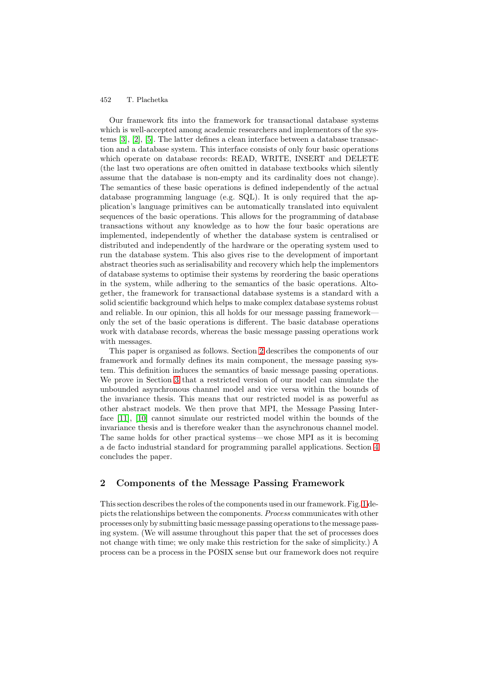Our framework fits into the framework for transactional database systems which is well-accepted among academic researchers and implementors of the systems [\[3\]](#page-8-1), [\[2\]](#page-8-2), [\[5\]](#page-9-5). The latter defines a clean interface between a database transaction and a database system. This interface consists of only four basic operations which operate on database records: READ, WRITE, INSERT and DELETE (the last two operations are often omitted in database textbooks which silently assume that the database is non-empty and its cardinality does not change). The semantics of these basic operations is defined independently of the actual database programming language (e.g. SQL). It is only required that the application's language primitives can be automatically translated into equivalent sequences of the basic operations. This allows for the programming of database transactions without any knowledge as to how the four basic operations are implemented, independently of whether the database system is centralised or distributed and independently of the hardware or the operating system used to run the database system. This also gives rise to the development of important abstract theories such as serialisability and recovery which help the implementors of database systems to optimise their systems by reordering the basic operations in the system, while adhering to the semantics of the basic operations. Altogether, the framework for transactional database systems is a standard with a solid scientific background which helps to make complex database systems robust and reliable. In our opinion, this all holds for our message passing framework only the set of the basic operations is different. The basic database operations work with database records, whereas the basic message passing operations work with messages.

This paper is organised as follows. Section [2](#page-1-0) describes the components of our framework and formally defines its main component, the message passing system. This definition induces the semantics of basic message passing operations. We prove in Section [3](#page-5-0) that a restricted version of our model can simulate the unbounded asynchronous channel model and vice versa within the bounds of the invariance thesis. This means that our restricted model is as powerful as other abstract models. We then prove that MPI, the Message Passing Interface [\[11\]](#page-9-6), [\[10\]](#page-9-7) cannot simulate our restricted model within the bounds of the invariance thesis and is therefore weaker than the asynchronous channel model. The same holds for other practical systems—we chose MPI as it is becoming a de facto industrial standard for programming parallel applications. Section [4](#page-8-3) concludes the paper.

# <span id="page-1-0"></span>**2 Components of the Message Passing Framework**

This section describes the roles of the components used in our framework. Fig. [1](#page-2-0) depicts the relationships between the components. Process communicates with other processesonlybysubmittingbasicmessagepassingoperationstothemessagepassing system. (We will assume throughout this paper that the set of processes does not change with time; we only make this restriction for the sake of simplicity.) A process can be a process in the POSIX sense but our framework does not require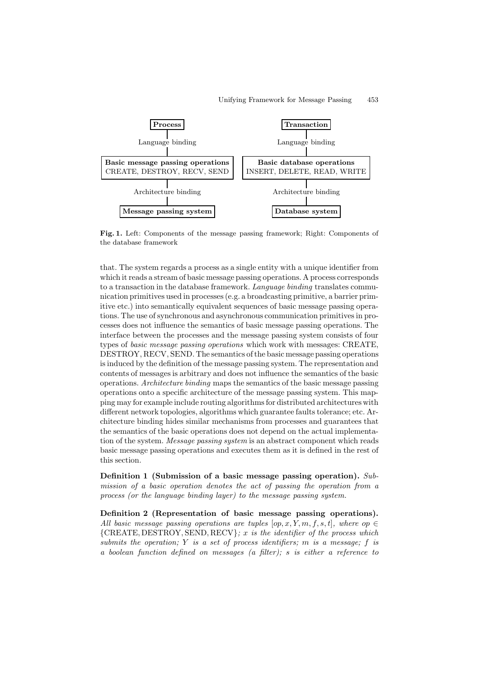

<span id="page-2-0"></span>**Fig. 1.** Left: Components of the message passing framework; Right: Components of the database framework

that. The system regards a process as a single entity with a unique identifier from which it reads a stream of basic message passing operations. A process corresponds to a transaction in the database framework. Language binding translates communication primitives used in processes (e.g. a broadcasting primitive, a barrier primitive etc.) into semantically equivalent sequences of basic message passing operations. The use of synchronous and asynchronous communication primitives in processes does not influence the semantics of basic message passing operations. The interface between the processes and the message passing system consists of four types of basic message passing operations which work with messages: CREATE, DESTROY, RECV, SEND. The semantics of the basic message passing operations is induced by the definition of the message passing system. The representation and contents of messages is arbitrary and does not influence the semantics of the basic operations. Architecture binding maps the semantics of the basic message passing operations onto a specific architecture of the message passing system. This mapping may for example include routing algorithms for distributed architectureswith different network topologies, algorithms which guarantee faults tolerance; etc. Architecture binding hides similar mechanisms from processes and guarantees that the semantics of the basic operations does not depend on the actual implementation of the system. Message passing system is an abstract component which reads basic message passing operations and executes them as it is defined in the rest of this section.

**Definition 1 (Submission of a basic message passing operation).** Submission of a basic operation denotes the act of passing the operation from a process (or the language binding layer) to the message passing system.

**Definition 2 (Representation of basic message passing operations).** All basic message passing operations are tuples  $[op, x, Y, m, f, s, t]$ , where  $op \in$ {CREATE, DESTROY, SEND, RECV}; x is the identifier of the process which submits the operation; Y is a set of process identifiers; m is a message; f is a boolean function defined on messages (a filter); s is either a reference to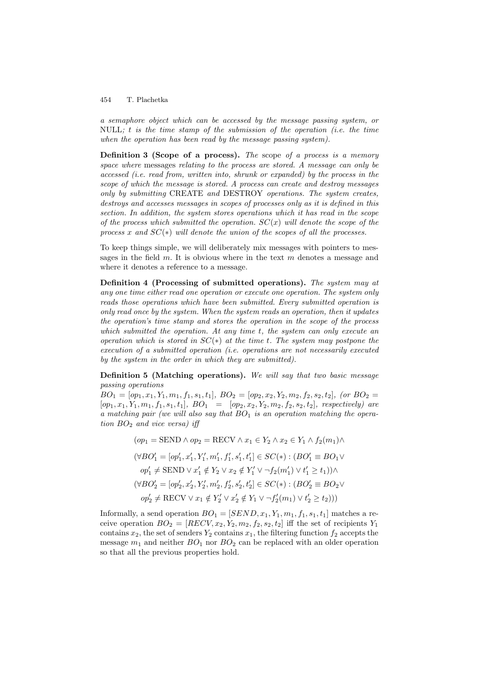a semaphore object which can be accessed by the message passing system, or NULL; t is the time stamp of the submission of the operation (i.e. the time when the operation has been read by the message passing system).

**Definition 3 (Scope of a process).** The scope of a process is a memory space where messages relating to the process are stored. A message can only be accessed (i.e. read from, written into, shrunk or expanded) by the process in the scope of which the message is stored. A process can create and destroy messages only by submitting CREATE and DESTROY operations. The system creates, destroys and accesses messages in scopes of processes only as it is defined in this section. In addition, the system stores operations which it has read in the scope of the process which submitted the operation.  $SC(x)$  will denote the scope of the process x and  $SC(*)$  will denote the union of the scopes of all the processes.

To keep things simple, we will deliberately mix messages with pointers to messages in the field  $m$ . It is obvious where in the text  $m$  denotes a message and where it denotes a reference to a message.

**Definition 4 (Processing of submitted operations).** The system may at any one time either read one operation or execute one operation. The system only reads those operations which have been submitted. Every submitted operation is only read once by the system. When the system reads an operation, then it updates the operation's time stamp and stores the operation in the scope of the process which submitted the operation. At any time t, the system can only execute an operation which is stored in  $SC(*)$  at the time t. The system may postpone the execution of a submitted operation (i.e. operations are not necessarily executed by the system in the order in which they are submitted).

<span id="page-3-0"></span>**Definition 5 (Matching operations).** We will say that two basic message passing operations

 $BO_1 = [op_1, x_1, Y_1, m_1, f_1, s_1, t_1], BO_2 = [op_2, x_2, Y_2, m_2, f_2, s_2, t_2],$  (or  $BO_2 =$  $[op_1, x_1, Y_1, m_1, f_1, s_1, t_1], BO_1 = [op_2, x_2, Y_2, m_2, f_2, s_2, t_2], respectively]$  are a matching pair (we will also say that  $BO<sub>1</sub>$  is an operation matching the operation  $BO<sub>2</sub>$  and vice versa) iff

$$
(op_1 = \text{SEND} \land op_2 = \text{RECV} \land x_1 \in Y_2 \land x_2 \in Y_1 \land f_2(m_1) \land
$$
  
\n
$$
(\forall BO'_1 = [op'_1, x'_1, Y'_1, m'_1, f'_1, s'_1, t'_1] \in SC(*) : (BO'_1 \equiv BO_1 \lor\nop'_1 \neq \text{SEND} \lor x'_1 \notin Y_2 \lor x_2 \notin Y'_1 \lor \neg f_2(m'_1) \lor t'_1 \geq t_1)) \land
$$
  
\n
$$
(\forall BO'_2 = [op'_2, x'_2, Y'_2, m'_2, f'_2, s'_2, t'_2] \in SC(*) : (BO'_2 \equiv BO_2 \lor\nop'_2 \neq \text{RECV} \lor x_1 \notin Y'_2 \lor x'_2 \notin Y_1 \lor \neg f'_2(m_1) \lor t'_2 \geq t_2)))
$$

Informally, a send operation  $BO_1 = [SEND, x_1, Y_1, m_1, f_1, s_1, t_1]$  matches a receive operation  $BO_2 = [RECV, x_2, Y_2, m_2, f_2, s_2, t_2]$  iff the set of recipients  $Y_1$ contains  $x_2$ , the set of senders  $Y_2$  contains  $x_1$ , the filtering function  $f_2$  accepts the message  $m_1$  and neither  $BO_1$  nor  $BO_2$  can be replaced with an older operation so that all the previous properties hold.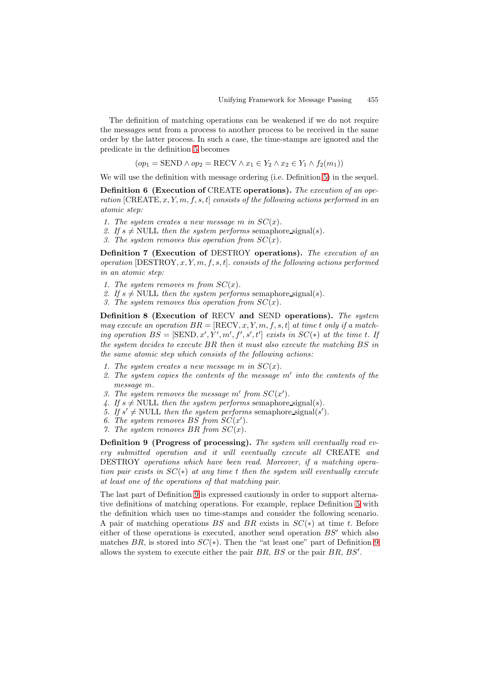The definition of matching operations can be weakened if we do not require the messages sent from a process to another process to be received in the same order by the latter process. In such a case, the time-stamps are ignored and the predicate in the definition [5](#page-3-0) becomes

 $(op_1 = \text{SEND} \land op_2 = \text{RECV} \land x_1 \in Y_2 \land x_2 \in Y_1 \land f_2(m_1))$ 

We will use the definition with message ordering (i.e. Definition [5\)](#page-3-0) in the sequel.

**Definition 6 (Execution of** CREATE **operations).** The execution of an operation  $[CREATE, x, Y, m, f, s, t]$  consists of the following actions performed in an atomic step:

- 1. The system creates a new message m in  $SC(x)$ .
- 2. If  $s \neq$  NULL then the system performs semaphore signal(s).
- 3. The system removes this operation from  $SC(x)$ .

**Definition 7 (Execution of** DESTROY **operations).** The execution of an operation  $[DEFroY, x, Y, m, f, s, t]$ . consists of the following actions performed in an atomic step:

- 1. The system removes m from  $SC(x)$ .
- 2. If  $s \neq$  NULL then the system performs semaphore signal(s).
- 3. The system removes this operation from  $SC(x)$ .

**Definition 8 (Execution of** RECV **and** SEND **operations).** The system may execute an operation  $BR = [RECV, x, Y, m, f, s, t]$  at time t only if a matching operation  $BS = [\text{SEND}, x', Y', m', f', s', t']$  exists in  $SC(*)$  at the time t. If the system decides to execute BR then it must also execute the matching BS in the same atomic step which consists of the following actions:

- 1. The system creates a new message m in  $SC(x)$ .
- 2. The system copies the contents of the message  $m'$  into the contents of the message m.
- 3. The system removes the message m' from  $SC(x')$ .
- 4. If  $s \neq$  NULL then the system performs semaphore signal(s).
- 5. If  $s' \neq$  NULL then the system performs semaphore signal(s').
- 6. The system removes BS from  $SC(x')$ .
- 7. The system removes BR from  $SC(x)$ .

<span id="page-4-0"></span>**Definition 9 (Progress of processing).** The system will eventually read every submitted operation and it will eventually execute all CREATE and DESTROY operations which have been read. Moreover, if a matching operation pair exists in  $SC(*)$  at any time t then the system will eventually execute at least one of the operations of that matching pair.

The last part of Definition [9](#page-4-0) is expressed cautiously in order to support alternative definitions of matching operations. For example, replace Definition [5](#page-3-0) with the definition which uses no time-stamps and consider the following scenario. A pair of matching operations BS and BR exists in  $SC(*)$  at time t. Before either of these operations is executed, another send operation  $BS'$  which also matches BR, is stored into  $SC(*)$ . Then the "at least one" part of Definition [9](#page-4-0) allows the system to execute either the pair  $BR, BS$  or the pair  $BR, BS'$ .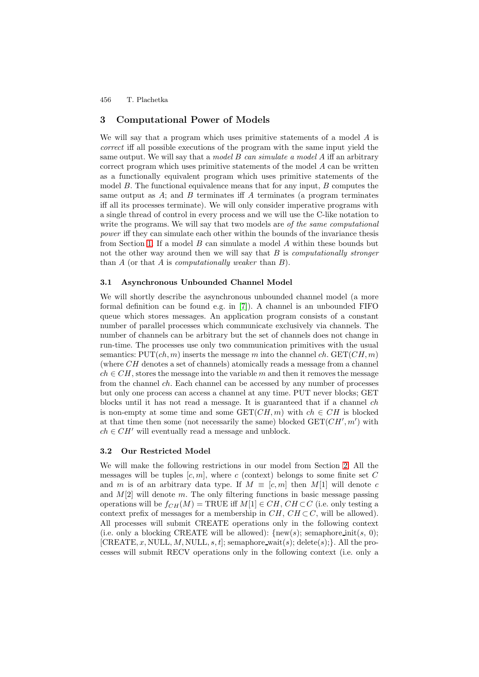# <span id="page-5-0"></span>**3 Computational Power of Models**

We will say that a program which uses primitive statements of a model  $A$  is correct iff all possible executions of the program with the same input yield the same output. We will say that a model B can simulate a model A iff an arbitrary correct program which uses primitive statements of the model  $A$  can be written as a functionally equivalent program which uses primitive statements of the model  $B$ . The functional equivalence means that for any input,  $B$  computes the same output as  $A$ ; and  $B$  terminates iff  $A$  terminates (a program terminates iff all its processes terminate). We will only consider imperative programs with a single thread of control in every process and we will use the C-like notation to write the programs. We will say that two models are of the same computational power iff they can simulate each other within the bounds of the invariance thesis from Section [1.](#page-0-0) If a model B can simulate a model A within these bounds but not the other way around then we will say that  $B$  is *computationally stronger* than  $A$  (or that  $A$  is *computationally weaker* than  $B$ ).

### **3.1 Asynchronous Unbounded Channel Model**

We will shortly describe the asynchronous unbounded channel model (a more formal definition can be found e.g. in [\[7\]](#page-9-0)). A channel is an unbounded FIFO queue which stores messages. An application program consists of a constant number of parallel processes which communicate exclusively via channels. The number of channels can be arbitrary but the set of channels does not change in run-time. The processes use only two communication primitives with the usual semantics:  $PUT(ch, m)$  inserts the message m into the channel ch.  $GET(CH, m)$ (where CH denotes a set of channels) atomically reads a message from a channel  $ch \in CH$ , stores the message into the variable m and then it removes the message from the channel ch. Each channel can be accessed by any number of processes but only one process can access a channel at any time. PUT never blocks; GET blocks until it has not read a message. It is guaranteed that if a channel ch is non-empty at some time and some  $GET(CH,m)$  with  $ch \in CH$  is blocked at that time then some (not necessarily the same) blocked  $GET(CH', m')$  with  $ch \in CH'$  will eventually read a message and unblock.

### **3.2 Our Restricted Model**

We will make the following restrictions in our model from Section [2.](#page-1-0) All the messages will be tuples  $[c, m]$ , where c (context) belongs to some finite set C and m is of an arbitrary data type. If  $M \equiv [c, m]$  then  $M[1]$  will denote c and  $M[2]$  will denote m. The only filtering functions in basic message passing operations will be  $f_{CH}(M) = \text{TRUE}$  iff  $M[1] \in CH$ ,  $CH \subset C$  (i.e. only testing a context prefix of messages for a membership in  $CH$ ,  $CH \subset C$ , will be allowed). All processes will submit CREATE operations only in the following context (i.e. only a blocking CREATE will be allowed):  $\{\text{new}(s)\}\$ ; semaphore init(s, 0);  $[CREATE, x, NULL, M, NULL, s, t]$ ; semaphore wait $(s)$ ; delete $(s)$ ;  $\}$ . All the processes will submit RECV operations only in the following context (i.e. only a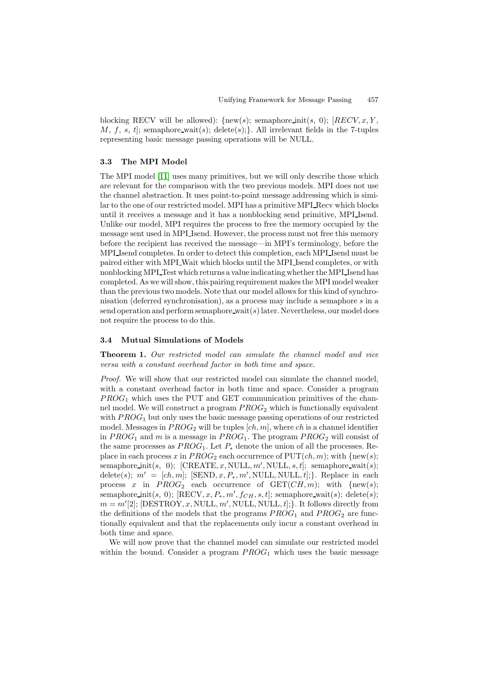blocking RECV will be allowed):  $\{\text{new}(s)\}\$  semaphore init(s, 0);  $[RECV, x, Y,$ M, f, s, t; semaphore wait(s); delete(s); }. All irrelevant fields in the 7-tuples representing basic message passing operations will be NULL.

### **3.3 The MPI Model**

The MPI model [\[11\]](#page-9-6) uses many primitives, but we will only describe those which are relevant for the comparison with the two previous models. MPI does not use the channel abstraction. It uses point-to-point message addressing which is similar to the one of our restricted model. MPI has a primitive MPI Recv which blocks until it receives a message and it has a nonblocking send primitive, MPI Isend. Unlike our model, MPI requires the process to free the memory occupied by the message sent used in MPI Isend. However, the process must not free this memory before the recipient has received the message—in MPI's terminology, before the MPI Isend completes. In order to detect this completion, each MPI Isend must be paired either with MPI Wait which blocks until the MPI Isend completes, or with nonblocking MPI Test which returns a value indicating whether the MPI Isend has completed. As we will show, this pairing requirementmakes the MPI model weaker than the previous two models. Note that our model allows for this kind of synchronisation (deferred synchronisation), as a process may include a semaphore s in a send operation and perform semaphore wait $(s)$  later. Nevertheless, our model does not require the process to do this.

### **3.4 Mutual Simulations of Models**

**Theorem 1.** Our restricted model can simulate the channel model and vice versa with a constant overhead factor in both time and space.

Proof. We will show that our restricted model can simulate the channel model, with a constant overhead factor in both time and space. Consider a program  $PROG<sub>1</sub>$  which uses the PUT and GET communication primitives of the channel model. We will construct a program  $PROG_2$  which is functionally equivalent with  $PROG<sub>1</sub>$  but only uses the basic message passing operations of our restricted model. Messages in  $PROG_2$  will be tuples  $[ch, m]$ , where ch is a channel identifier in  $PROG_1$  and m is a message in  $PROG_1$ . The program  $PROG_2$  will consist of the same processes as  $PROG_1$ . Let  $P_*$  denote the union of all the processes. Replace in each process x in  $PROG_2$  each occurrence of  $PUT(ch, m)$ ; with  ${new(s)}$ ; semaphore  $\text{init}(s, 0)$ ; [CREATE, x, NULL, m', NULL, s, t]; semaphore wait $(s)$ ; delete(s);  $m' = [ch, m]$ ; [SEND, x, P<sub>\*</sub>, m', NULL, NULL, t];}. Replace in each process x in  $PROG_2$  each occurrence of  $GET(CH,m)$ ; with {new(s); semaphore  $\text{init}(s, 0)$ ;  $[\text{RECV}, x, P_*, m', f_{CH}, s, t]$ ; semaphore wait $(s)$ ; delete $(s)$ ;  $m = m'[2]$ ; [DESTROY, x, NULL, m', NULL, NULL,  $t$ ];}. It follows directly from the definitions of the models that the programs  $PROG_1$  and  $PROG_2$  are functionally equivalent and that the replacements only incur a constant overhead in both time and space.

We will now prove that the channel model can simulate our restricted model within the bound. Consider a program  $PROG_1$  which uses the basic message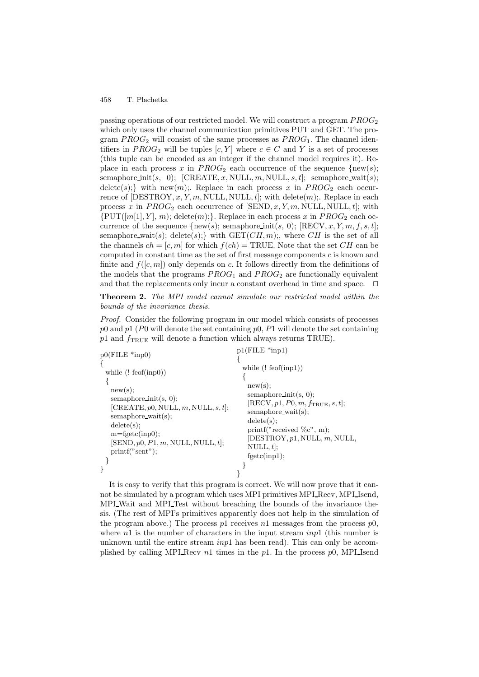passing operations of our restricted model. We will construct a program PROG<sup>2</sup> which only uses the channel communication primitives PUT and GET. The program  $PROG_2$  will consist of the same processes as  $PROG_1$ . The channel identifiers in  $PROG_2$  will be tuples  $[c, Y]$  where  $c \in C$  and Y is a set of processes (this tuple can be encoded as an integer if the channel model requires it). Replace in each process x in  $PROG_2$  each occurrence of the sequence {new(s); semaphore  $\text{init}(s, 0)$ ;  $[CREATE, x, NULL, m, NULL, s, t]$ ; semaphore wait $(s)$ ; delete(s); with new(m);. Replace in each process x in  $PROG_2$  each occurrence of  $[$ DESTROY,  $x, Y, m$ , NULL, NULL,  $t$ ]; with delete $(m)$ ;. Replace in each process x in  $PROG_2$  each occurrence of  $[\text{SEND}, x, Y, m, \text{NULL}, \text{NULL}, t]$ ; with  ${PUT([m[1], Y], m)}$ ; delete $(m);$ }. Replace in each process x in  $PROG_2$  each occurrence of the sequence  $\{\text{new}(s)\}\$ ; semaphore init(s, 0);  $[\text{RECV}, x, Y, m, f, s, t]$ ; semaphore wait(s); delete(s); with  $GET(CH, m)$ ;, where CH is the set of all the channels  $ch = [c, m]$  for which  $f(ch) = \text{TRUE}$ . Note that the set CH can be computed in constant time as the set of first message components  $c$  is known and finite and  $f([c,m])$  only depends on c. It follows directly from the definitions of the models that the programs  $PROG_1$  and  $PROG_2$  are functionally equivalent and that the replacements only incur a constant overhead in time and space.  $\Box$ 

**Theorem 2.** The MPI model cannot simulate our restricted model within the bounds of the invariance thesis.

*Proof.* Consider the following program in our model which consists of processes  $p0$  and  $p1$  (P0 will denote the set containing  $p0$ , P1 will denote the set containing  $p1$  and  $f_{\text{TRUE}}$  will denote a function which always returns TRUE).

| $p0$ (FILE *inp0)                                                                                                                                                                                                                           | $p1$ (FILE *inp1)                                                                                                                                                                                                                                                    |
|---------------------------------------------------------------------------------------------------------------------------------------------------------------------------------------------------------------------------------------------|----------------------------------------------------------------------------------------------------------------------------------------------------------------------------------------------------------------------------------------------------------------------|
| while $(!\text{fcof(inp0)})$<br>new(s);<br>semaphore in $(ts, 0)$ ;<br>[CREATE, $p0$ , NULL, m, NULL, s, t];<br>semaphore wait $(s)$ ;<br>delete(s);<br>$m = \frac{fgetc(inp0)}{h}$<br>[SEND, p0, P1, m, NULL, NULL, t];<br>print(f"sent"); | while $(!\text{fcof}(inp1))$<br>new(s);<br>semaphore in $(ts, 0)$ ;<br>$[RECV, p1, P0, m, f_{\text{TRUE}}, s, t];$<br>$semaphore\_wait(s);$<br>$delete(s)$ :<br>printf("received $\%c$ ", m);<br>$[$ DESTROY, $p1$ , NULL, $m$ , NULL,<br>NULL, t];<br>fgetc(input); |

It is easy to verify that this program is correct. We will now prove that it cannot be simulated by a program which uses MPI primitives MPI Recv, MPI Isend, MPI Wait and MPI Test without breaching the bounds of the invariance thesis. (The rest of MPI's primitives apparently does not help in the simulation of the program above.) The process  $p_1$  receives  $n_1$  messages from the process  $p_0$ , where  $n1$  is the number of characters in the input stream  $inv1$  (this number is unknown until the entire stream  $inp1$  has been read). This can only be accomplished by calling MPI Recv  $n1$  times in the  $p1$ . In the process  $p0$ , MPI Isend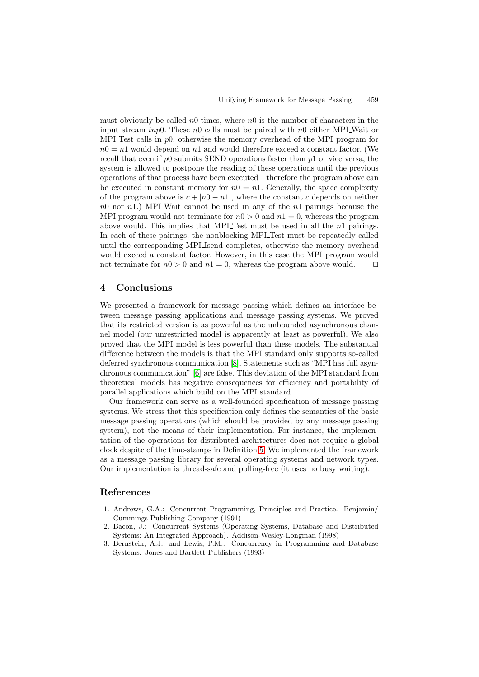must obviously be called n0 times, where  $n0$  is the number of characters in the input stream *inp*0. These n0 calls must be paired with n0 either MPI\_Wait or MPI Test calls in  $p_0$ , otherwise the memory overhead of the MPI program for  $n0 = n1$  would depend on n1 and would therefore exceed a constant factor. (We recall that even if  $p0$  submits SEND operations faster than  $p1$  or vice versa, the system is allowed to postpone the reading of these operations until the previous operations of that process have been executed—therefore the program above can be executed in constant memory for  $n0 = n1$ . Generally, the space complexity of the program above is  $c + |n0 - n1|$ , where the constant c depends on neither  $n0$  nor n1.) MPI Wait cannot be used in any of the n1 pairings because the MPI program would not terminate for  $n0 > 0$  and  $n1 = 0$ , whereas the program above would. This implies that MPI Test must be used in all the  $n_1$  pairings. In each of these pairings, the nonblocking MPI Test must be repeatedly called until the corresponding MPI Isend completes, otherwise the memory overhead would exceed a constant factor. However, in this case the MPI program would not terminate for  $n0 > 0$  and  $n1 = 0$ , whereas the program above would.  $\Box$ 

## <span id="page-8-3"></span>**4 Conclusions**

We presented a framework for message passing which defines an interface between message passing applications and message passing systems. We proved that its restricted version is as powerful as the unbounded asynchronous channel model (our unrestricted model is apparently at least as powerful). We also proved that the MPI model is less powerful than these models. The substantial difference between the models is that the MPI standard only supports so-called deferred synchronous communication [\[8\]](#page-9-8). Statements such as "MPI has full asynchronous communication" [\[6\]](#page-9-9) are false. This deviation of the MPI standard from theoretical models has negative consequences for efficiency and portability of parallel applications which build on the MPI standard.

Our framework can serve as a well-founded specification of message passing systems. We stress that this specification only defines the semantics of the basic message passing operations (which should be provided by any message passing system), not the means of their implementation. For instance, the implementation of the operations for distributed architectures does not require a global clock despite of the time-stamps in Definition [5.](#page-3-0) We implemented the framework as a message passing library for several operating systems and network types. Our implementation is thread-safe and polling-free (it uses no busy waiting).

# <span id="page-8-0"></span>**References**

- 1. Andrews, G.A.: Concurrent Programming, Principles and Practice. Benjamin/ Cummings Publishing Company (1991)
- <span id="page-8-2"></span>2. Bacon, J.: Concurrent Systems (Operating Systems, Database and Distributed Systems: An Integrated Approach). Addison-Wesley-Longman (1998)
- <span id="page-8-1"></span>3. Bernstein, A.J., and Lewis, P.M.: Concurrency in Programming and Database Systems. Jones and Bartlett Publishers (1993)